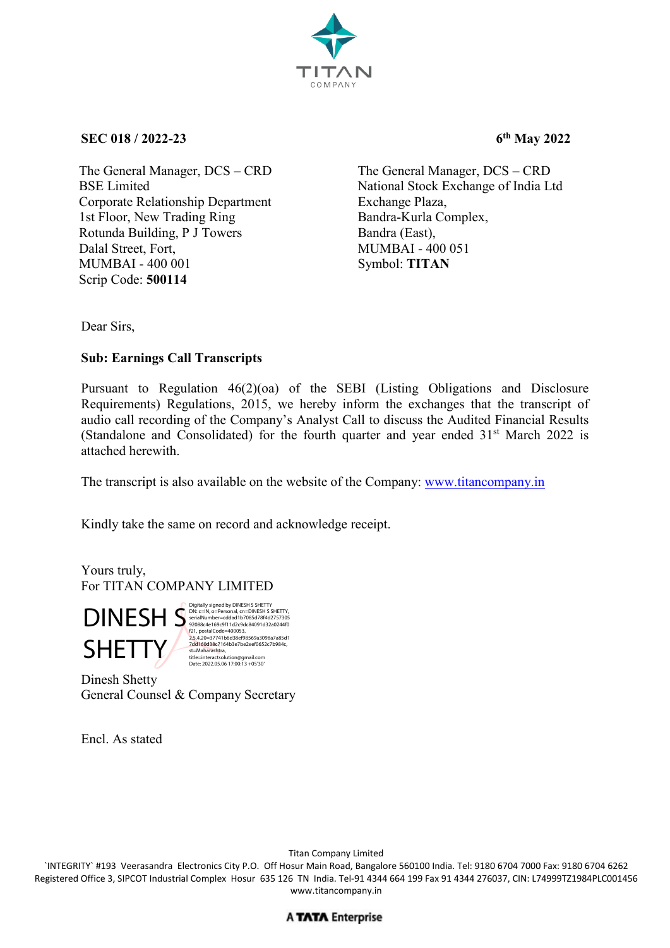

### **SEC 018 / 2022-23 6th May 2022**

The General Manager, DCS – CRD BSE Limited Corporate Relationship Department 1st Floor, New Trading Ring Rotunda Building, P J Towers Dalal Street, Fort, MUMBAI - 400 001 Scrip Code: **500114**

 The General Manager, DCS – CRD National Stock Exchange of India Ltd Exchange Plaza, Bandra-Kurla Complex, Bandra (East), MUMBAI - 400 051 Symbol: **TITAN**

Dear Sirs,

### **Sub: Earnings Call Transcripts**

Pursuant to Regulation 46(2)(oa) of the SEBI (Listing Obligations and Disclosure Requirements) Regulations, 2015, we hereby inform the exchanges that the transcript of audio call recording of the Company's Analyst Call to discuss the Audited Financial Results (Standalone and Consolidated) for the fourth quarter and year ended  $31<sup>st</sup>$  March 2022 is attached herewith.

The transcript is also available on the website of the Company: [www.titancompany.in](http://www.titancompany.in/)

Kindly take the same on record and acknowledge receipt.

Yours truly, For TITAN COMPANY LIMITED



Digitally signed by DINESH S SHETTY<br>DN: c=lN, o=Personal, cn=DINESH S SHETTY,<br>serialNumber=cddad1b7085d78f4d2757305<br>92088c4e169c9f11d2c9dc84091d32a0244f0 f21, postalCode=400053, 2.5.4.20=37741b6d38ef98569a3098a7a85d1 7dd160d38c7164b3e7be2eef0652c7b984c, st=Maharashtra, title=interactsolution@gmail.com Date: 2022.05.06 17:00:13 +05'30'

Dinesh Shetty General Counsel & Company Secretary

Encl. As stated

Titan Company Limited

`INTEGRITY` #193 Veerasandra Electronics City P.O. Off Hosur Main Road, Bangalore 560100 India. Tel: 9180 6704 7000 Fax: 9180 6704 6262 Registered Office 3, SIPCOT Industrial Complex Hosur 635 126 TN India. Tel-91 4344 664 199 Fax 91 4344 276037, CIN: L74999TZ1984PLC001456 www.titancompany.in

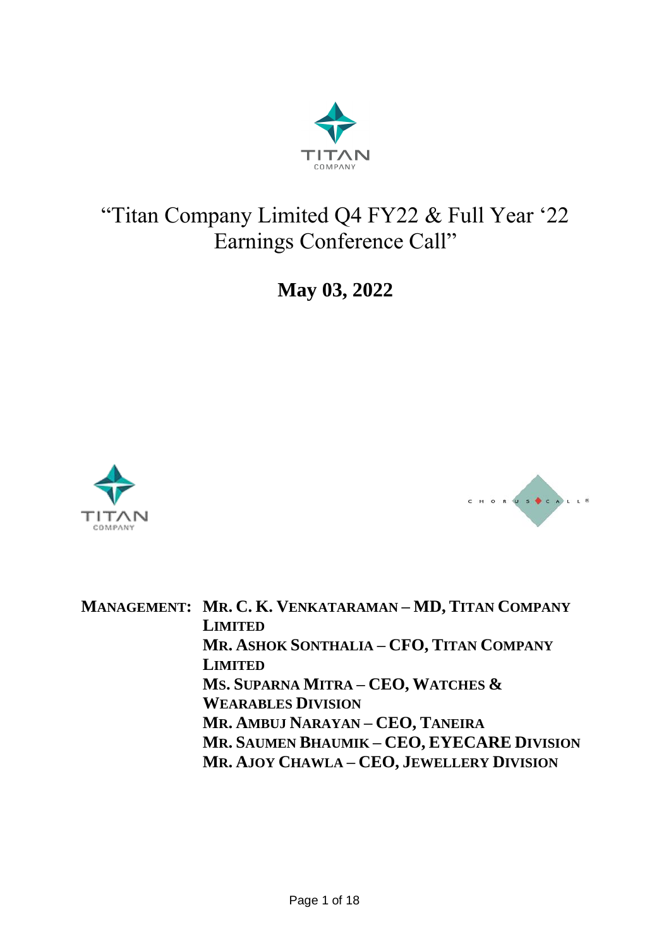

# "Titan Company Limited Q4 FY22 & Full Year '22 Earnings Conference Call"

**May 03, 2022**





**MANAGEMENT: MR. C. K. VENKATARAMAN – MD, TITAN COMPANY LIMITED MR. ASHOK SONTHALIA – CFO, TITAN COMPANY LIMITED MS. SUPARNA MITRA – CEO, WATCHES & WEARABLES DIVISION MR. AMBUJ NARAYAN – CEO, TANEIRA MR. SAUMEN BHAUMIK – CEO, EYECARE DIVISION MR. AJOY CHAWLA – CEO, JEWELLERY DIVISION**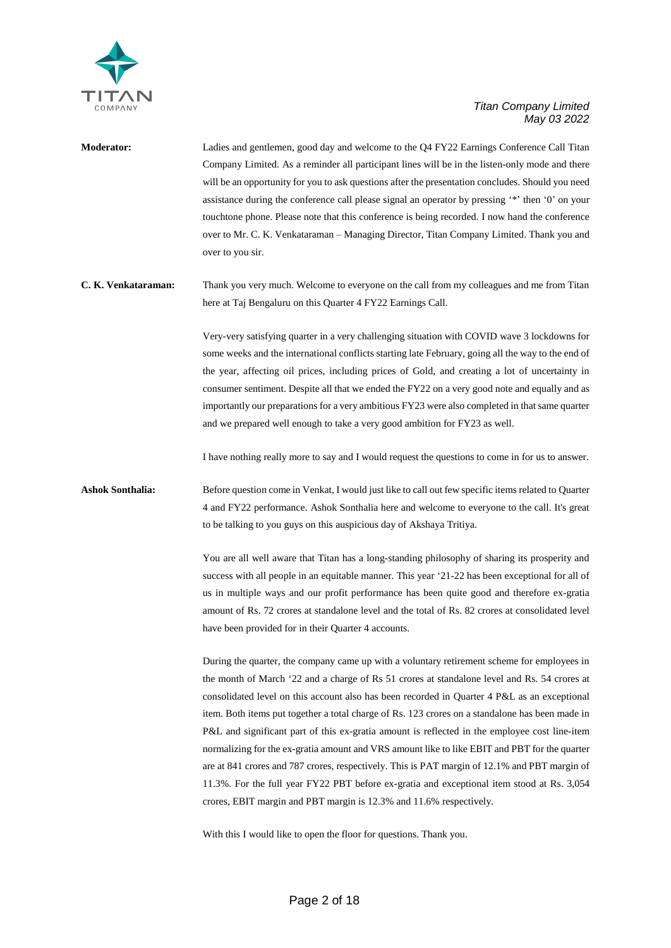

| <b>Moderator:</b>       | Ladies and gentlemen, good day and welcome to the Q4 FY22 Earnings Conference Call Titan<br>Company Limited. As a reminder all participant lines will be in the listen-only mode and there<br>will be an opportunity for you to ask questions after the presentation concludes. Should you need<br>assistance during the conference call please signal an operator by pressing '*' then '0' on your<br>touchtone phone. Please note that this conference is being recorded. I now hand the conference<br>over to Mr. C. K. Venkataraman - Managing Director, Titan Company Limited. Thank you and<br>over to you sir.                                                                                                                                                                                                                                                  |
|-------------------------|------------------------------------------------------------------------------------------------------------------------------------------------------------------------------------------------------------------------------------------------------------------------------------------------------------------------------------------------------------------------------------------------------------------------------------------------------------------------------------------------------------------------------------------------------------------------------------------------------------------------------------------------------------------------------------------------------------------------------------------------------------------------------------------------------------------------------------------------------------------------|
| C. K. Venkataraman:     | Thank you very much. Welcome to everyone on the call from my colleagues and me from Titan<br>here at Taj Bengaluru on this Quarter 4 FY22 Earnings Call.                                                                                                                                                                                                                                                                                                                                                                                                                                                                                                                                                                                                                                                                                                               |
|                         | Very-very satisfying quarter in a very challenging situation with COVID wave 3 lockdowns for<br>some weeks and the international conflicts starting late February, going all the way to the end of<br>the year, affecting oil prices, including prices of Gold, and creating a lot of uncertainty in<br>consumer sentiment. Despite all that we ended the FY22 on a very good note and equally and as<br>importantly our preparations for a very ambitious FY23 were also completed in that same quarter<br>and we prepared well enough to take a very good ambition for FY23 as well.                                                                                                                                                                                                                                                                                 |
|                         | I have nothing really more to say and I would request the questions to come in for us to answer.                                                                                                                                                                                                                                                                                                                                                                                                                                                                                                                                                                                                                                                                                                                                                                       |
| <b>Ashok Sonthalia:</b> | Before question come in Venkat, I would just like to call out few specific items related to Quarter<br>4 and FY22 performance. Ashok Sonthalia here and welcome to everyone to the call. It's great<br>to be talking to you guys on this auspicious day of Akshaya Tritiya.<br>You are all well aware that Titan has a long-standing philosophy of sharing its prosperity and<br>success with all people in an equitable manner. This year '21-22 has been exceptional for all of                                                                                                                                                                                                                                                                                                                                                                                      |
|                         | us in multiple ways and our profit performance has been quite good and therefore ex-gratia<br>amount of Rs. 72 crores at standalone level and the total of Rs. 82 crores at consolidated level<br>have been provided for in their Quarter 4 accounts.                                                                                                                                                                                                                                                                                                                                                                                                                                                                                                                                                                                                                  |
|                         | During the quarter, the company came up with a voluntary retirement scheme for employees in<br>the month of March '22 and a charge of Rs 51 crores at standalone level and Rs. 54 crores at<br>consolidated level on this account also has been recorded in Quarter 4 P&L as an exceptional<br>item. Both items put together a total charge of Rs. 123 crores on a standalone has been made in<br>P&L and significant part of this ex-gratia amount is reflected in the employee cost line-item<br>normalizing for the ex-gratia amount and VRS amount like to like EBIT and PBT for the quarter<br>are at 841 crores and 787 crores, respectively. This is PAT margin of 12.1% and PBT margin of<br>11.3%. For the full year FY22 PBT before ex-gratia and exceptional item stood at Rs. 3,054<br>crores, EBIT margin and PBT margin is 12.3% and 11.6% respectively. |

With this I would like to open the floor for questions. Thank you.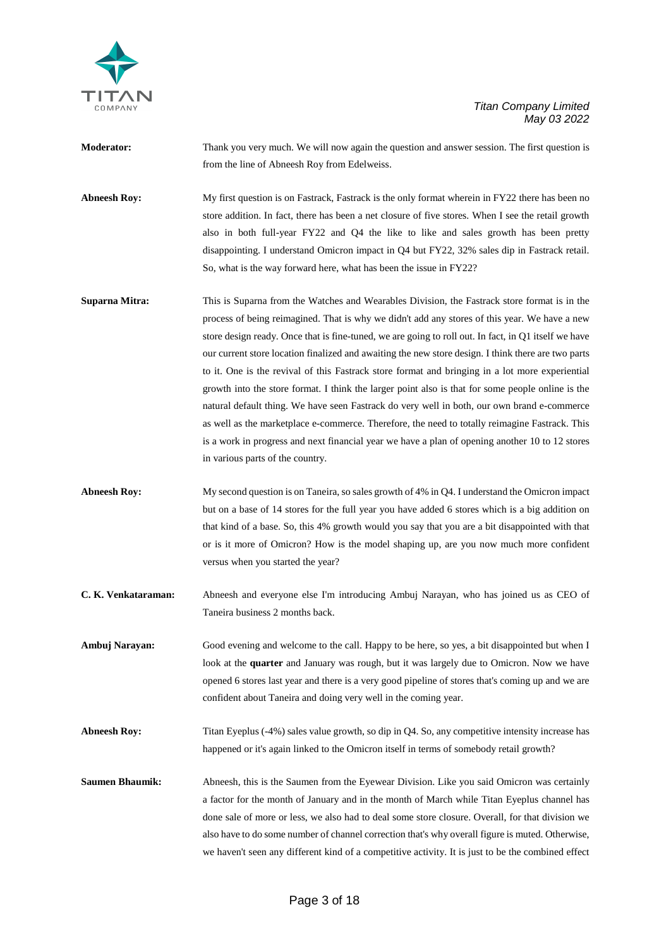

| Moderator:             | Thank you very much. We will now again the question and answer session. The first question is<br>from the line of Abneesh Roy from Edelweiss.                                                                                                                                                                                                                                                                                                                                                                                                                                                                                                                                                                                                                                                                                                                                                                                                                |
|------------------------|--------------------------------------------------------------------------------------------------------------------------------------------------------------------------------------------------------------------------------------------------------------------------------------------------------------------------------------------------------------------------------------------------------------------------------------------------------------------------------------------------------------------------------------------------------------------------------------------------------------------------------------------------------------------------------------------------------------------------------------------------------------------------------------------------------------------------------------------------------------------------------------------------------------------------------------------------------------|
| Abneesh Roy:           | My first question is on Fastrack, Fastrack is the only format wherein in FY22 there has been no<br>store addition. In fact, there has been a net closure of five stores. When I see the retail growth<br>also in both full-year FY22 and Q4 the like to like and sales growth has been pretty<br>disappointing. I understand Omicron impact in Q4 but FY22, 32% sales dip in Fastrack retail.<br>So, what is the way forward here, what has been the issue in FY22?                                                                                                                                                                                                                                                                                                                                                                                                                                                                                          |
| Suparna Mitra:         | This is Suparna from the Watches and Wearables Division, the Fastrack store format is in the<br>process of being reimagined. That is why we didn't add any stores of this year. We have a new<br>store design ready. Once that is fine-tuned, we are going to roll out. In fact, in Q1 itself we have<br>our current store location finalized and awaiting the new store design. I think there are two parts<br>to it. One is the revival of this Fastrack store format and bringing in a lot more experiential<br>growth into the store format. I think the larger point also is that for some people online is the<br>natural default thing. We have seen Fastrack do very well in both, our own brand e-commerce<br>as well as the marketplace e-commerce. Therefore, the need to totally reimagine Fastrack. This<br>is a work in progress and next financial year we have a plan of opening another 10 to 12 stores<br>in various parts of the country. |
| <b>Abneesh Roy:</b>    | My second question is on Taneira, so sales growth of 4% in Q4. I understand the Omicron impact<br>but on a base of 14 stores for the full year you have added 6 stores which is a big addition on<br>that kind of a base. So, this 4% growth would you say that you are a bit disappointed with that<br>or is it more of Omicron? How is the model shaping up, are you now much more confident<br>versus when you started the year?                                                                                                                                                                                                                                                                                                                                                                                                                                                                                                                          |
| C. K. Venkataraman:    | Abneesh and everyone else I'm introducing Ambuj Narayan, who has joined us as CEO of<br>Taneira business 2 months back.                                                                                                                                                                                                                                                                                                                                                                                                                                                                                                                                                                                                                                                                                                                                                                                                                                      |
| Ambuj Narayan:         | Good evening and welcome to the call. Happy to be here, so yes, a bit disappointed but when I<br>look at the quarter and January was rough, but it was largely due to Omicron. Now we have<br>opened 6 stores last year and there is a very good pipeline of stores that's coming up and we are<br>confident about Taneira and doing very well in the coming year.                                                                                                                                                                                                                                                                                                                                                                                                                                                                                                                                                                                           |
| <b>Abneesh Roy:</b>    | Titan Eyeplus (-4%) sales value growth, so dip in Q4. So, any competitive intensity increase has<br>happened or it's again linked to the Omicron itself in terms of somebody retail growth?                                                                                                                                                                                                                                                                                                                                                                                                                                                                                                                                                                                                                                                                                                                                                                  |
| <b>Saumen Bhaumik:</b> | Abneesh, this is the Saumen from the Eyewear Division. Like you said Omicron was certainly<br>a factor for the month of January and in the month of March while Titan Eyeplus channel has<br>done sale of more or less, we also had to deal some store closure. Overall, for that division we<br>also have to do some number of channel correction that's why overall figure is muted. Otherwise,<br>we haven't seen any different kind of a competitive activity. It is just to be the combined effect                                                                                                                                                                                                                                                                                                                                                                                                                                                      |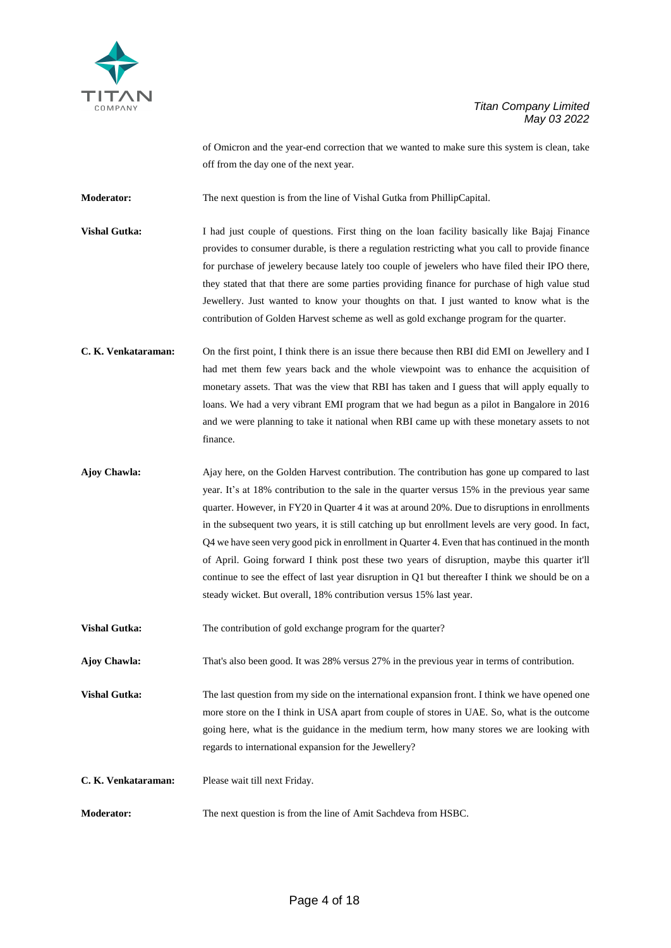

of Omicron and the year-end correction that we wanted to make sure this system is clean, take off from the day one of the next year.

**Moderator:** The next question is from the line of Vishal Gutka from PhillipCapital.

- **Vishal Gutka:** I had just couple of questions. First thing on the loan facility basically like Bajaj Finance provides to consumer durable, is there a regulation restricting what you call to provide finance for purchase of jewelery because lately too couple of jewelers who have filed their IPO there, they stated that that there are some parties providing finance for purchase of high value stud Jewellery. Just wanted to know your thoughts on that. I just wanted to know what is the contribution of Golden Harvest scheme as well as gold exchange program for the quarter.
- **C. K. Venkataraman:** On the first point, I think there is an issue there because then RBI did EMI on Jewellery and I had met them few years back and the whole viewpoint was to enhance the acquisition of monetary assets. That was the view that RBI has taken and I guess that will apply equally to loans. We had a very vibrant EMI program that we had begun as a pilot in Bangalore in 2016 and we were planning to take it national when RBI came up with these monetary assets to not finance.
- **Ajoy Chawla:** Ajay here, on the Golden Harvest contribution. The contribution has gone up compared to last year. It's at 18% contribution to the sale in the quarter versus 15% in the previous year same quarter. However, in FY20 in Quarter 4 it was at around 20%. Due to disruptions in enrollments in the subsequent two years, it is still catching up but enrollment levels are very good. In fact, Q4 we have seen very good pick in enrollment in Quarter 4. Even that has continued in the month of April. Going forward I think post these two years of disruption, maybe this quarter it'll continue to see the effect of last year disruption in Q1 but thereafter I think we should be on a steady wicket. But overall, 18% contribution versus 15% last year.

**Vishal Gutka:** The contribution of gold exchange program for the quarter?

**Ajoy Chawla:** That's also been good. It was 28% versus 27% in the previous year in terms of contribution.

**Vishal Gutka:** The last question from my side on the international expansion front. I think we have opened one more store on the I think in USA apart from couple of stores in UAE. So, what is the outcome going here, what is the guidance in the medium term, how many stores we are looking with regards to international expansion for the Jewellery?

- **C. K. Venkataraman:** Please wait till next Friday.
- **Moderator:** The next question is from the line of Amit Sachdeva from HSBC.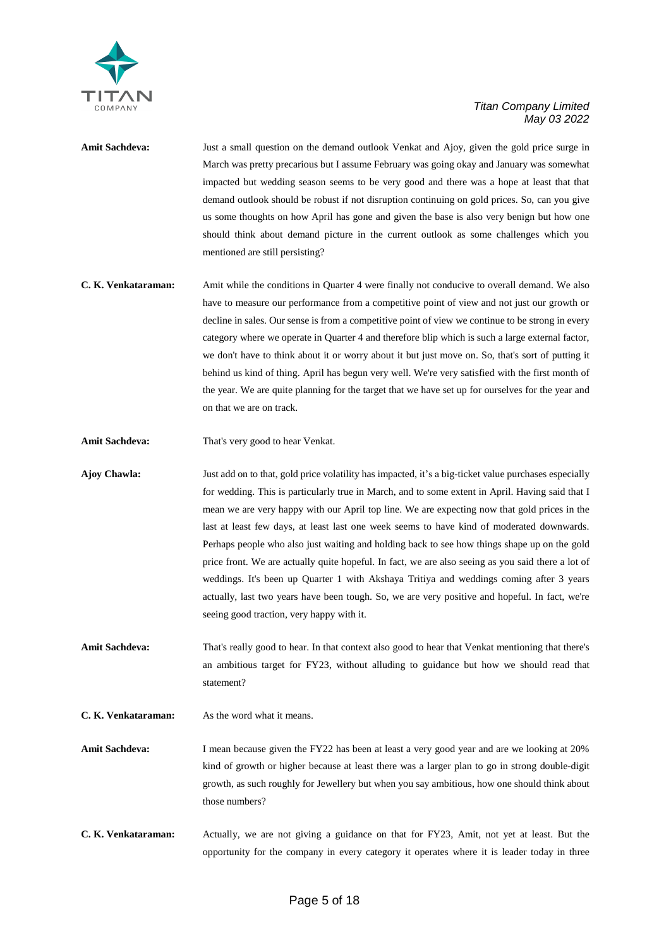

## **Amit Sachdeva:** Just a small question on the demand outlook Venkat and Ajoy, given the gold price surge in March was pretty precarious but I assume February was going okay and January was somewhat impacted but wedding season seems to be very good and there was a hope at least that that demand outlook should be robust if not disruption continuing on gold prices. So, can you give us some thoughts on how April has gone and given the base is also very benign but how one should think about demand picture in the current outlook as some challenges which you mentioned are still persisting?

- **C. K. Venkataraman:** Amit while the conditions in Quarter 4 were finally not conducive to overall demand. We also have to measure our performance from a competitive point of view and not just our growth or decline in sales. Our sense is from a competitive point of view we continue to be strong in every category where we operate in Quarter 4 and therefore blip which is such a large external factor, we don't have to think about it or worry about it but just move on. So, that's sort of putting it behind us kind of thing. April has begun very well. We're very satisfied with the first month of the year. We are quite planning for the target that we have set up for ourselves for the year and on that we are on track.
- **Amit Sachdeva:** That's very good to hear Venkat.

**Ajoy Chawla:** Just add on to that, gold price volatility has impacted, it's a big-ticket value purchases especially for wedding. This is particularly true in March, and to some extent in April. Having said that I mean we are very happy with our April top line. We are expecting now that gold prices in the last at least few days, at least last one week seems to have kind of moderated downwards. Perhaps people who also just waiting and holding back to see how things shape up on the gold price front. We are actually quite hopeful. In fact, we are also seeing as you said there a lot of weddings. It's been up Quarter 1 with Akshaya Tritiya and weddings coming after 3 years actually, last two years have been tough. So, we are very positive and hopeful. In fact, we're seeing good traction, very happy with it.

- **Amit Sachdeva:** That's really good to hear. In that context also good to hear that Venkat mentioning that there's an ambitious target for FY23, without alluding to guidance but how we should read that statement?
- **C. K. Venkataraman:** As the word what it means.

**Amit Sachdeva:** I mean because given the FY22 has been at least a very good year and are we looking at 20% kind of growth or higher because at least there was a larger plan to go in strong double-digit growth, as such roughly for Jewellery but when you say ambitious, how one should think about those numbers?

**C. K. Venkataraman:** Actually, we are not giving a guidance on that for FY23, Amit, not yet at least. But the opportunity for the company in every category it operates where it is leader today in three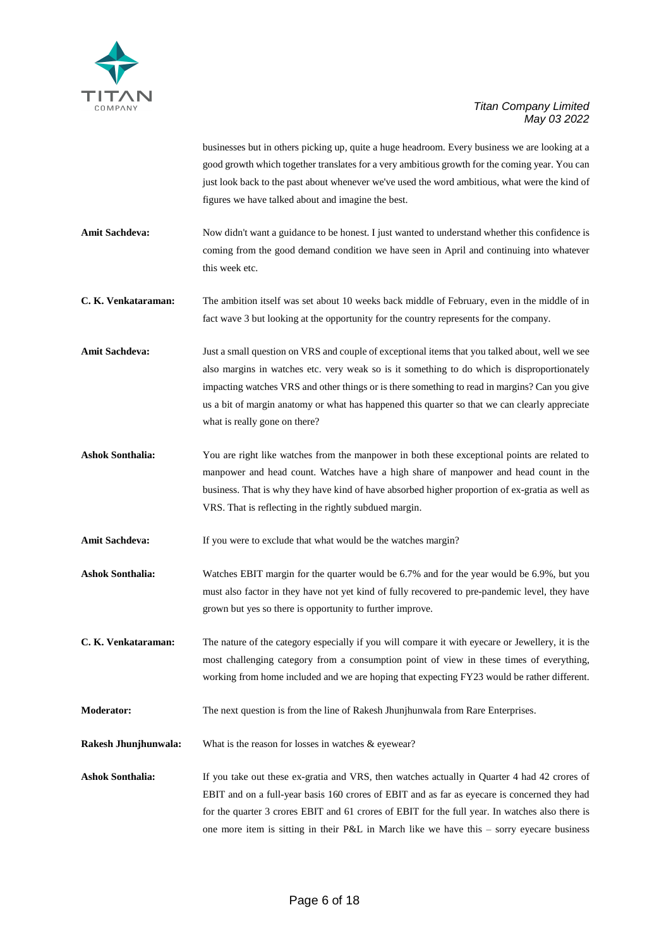

businesses but in others picking up, quite a huge headroom. Every business we are looking at a good growth which together translates for a very ambitious growth for the coming year. You can just look back to the past about whenever we've used the word ambitious, what were the kind of figures we have talked about and imagine the best.

- **Amit Sachdeva:** Now didn't want a guidance to be honest. I just wanted to understand whether this confidence is coming from the good demand condition we have seen in April and continuing into whatever this week etc.
- **C. K. Venkataraman:** The ambition itself was set about 10 weeks back middle of February, even in the middle of in fact wave 3 but looking at the opportunity for the country represents for the company.
- **Amit Sachdeva:** Just a small question on VRS and couple of exceptional items that you talked about, well we see also margins in watches etc. very weak so is it something to do which is disproportionately impacting watches VRS and other things or is there something to read in margins? Can you give us a bit of margin anatomy or what has happened this quarter so that we can clearly appreciate what is really gone on there?
- **Ashok Sonthalia:** You are right like watches from the manpower in both these exceptional points are related to manpower and head count. Watches have a high share of manpower and head count in the business. That is why they have kind of have absorbed higher proportion of ex-gratia as well as VRS. That is reflecting in the rightly subdued margin.
- Amit Sachdeva: If you were to exclude that what would be the watches margin?
- **Ashok Sonthalia:** Watches EBIT margin for the quarter would be 6.7% and for the year would be 6.9%, but you must also factor in they have not yet kind of fully recovered to pre-pandemic level, they have grown but yes so there is opportunity to further improve.
- **C. K. Venkataraman:** The nature of the category especially if you will compare it with eyecare or Jewellery, it is the most challenging category from a consumption point of view in these times of everything, working from home included and we are hoping that expecting FY23 would be rather different.
- **Moderator:** The next question is from the line of Rakesh Jhunjhunwala from Rare Enterprises.
- **Rakesh Jhunjhunwala:** What is the reason for losses in watches & eyewear?
- **Ashok Sonthalia:** If you take out these ex-gratia and VRS, then watches actually in Quarter 4 had 42 crores of EBIT and on a full-year basis 160 crores of EBIT and as far as eyecare is concerned they had for the quarter 3 crores EBIT and 61 crores of EBIT for the full year. In watches also there is one more item is sitting in their P&L in March like we have this – sorry eyecare business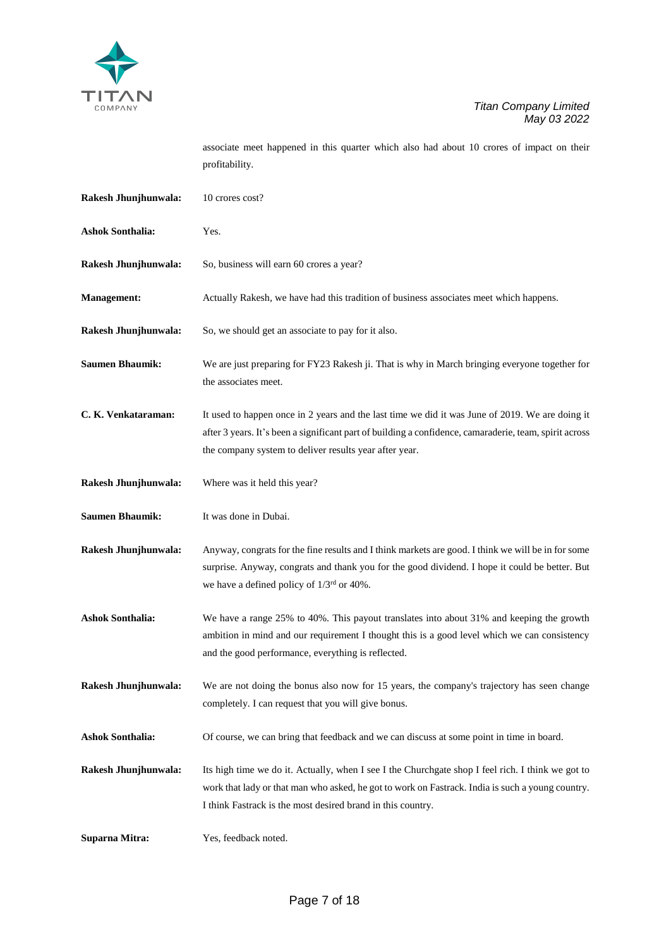

associate meet happened in this quarter which also had about 10 crores of impact on their profitability.

| Rakesh Jhunjhunwala:    | 10 crores cost?                                                                                                                                                                                                                                                      |
|-------------------------|----------------------------------------------------------------------------------------------------------------------------------------------------------------------------------------------------------------------------------------------------------------------|
| <b>Ashok Sonthalia:</b> | Yes.                                                                                                                                                                                                                                                                 |
| Rakesh Jhunjhunwala:    | So, business will earn 60 crores a year?                                                                                                                                                                                                                             |
| <b>Management:</b>      | Actually Rakesh, we have had this tradition of business associates meet which happens.                                                                                                                                                                               |
| Rakesh Jhunjhunwala:    | So, we should get an associate to pay for it also.                                                                                                                                                                                                                   |
| <b>Saumen Bhaumik:</b>  | We are just preparing for FY23 Rakesh ji. That is why in March bringing everyone together for<br>the associates meet.                                                                                                                                                |
| C. K. Venkataraman:     | It used to happen once in 2 years and the last time we did it was June of 2019. We are doing it<br>after 3 years. It's been a significant part of building a confidence, camaraderie, team, spirit across<br>the company system to deliver results year after year.  |
| Rakesh Jhunjhunwala:    | Where was it held this year?                                                                                                                                                                                                                                         |
| <b>Saumen Bhaumik:</b>  | It was done in Dubai.                                                                                                                                                                                                                                                |
| Rakesh Jhunjhunwala:    | Anyway, congrats for the fine results and I think markets are good. I think we will be in for some<br>surprise. Anyway, congrats and thank you for the good dividend. I hope it could be better. But<br>we have a defined policy of $1/3^{rd}$ or 40%.               |
| <b>Ashok Sonthalia:</b> | We have a range 25% to 40%. This payout translates into about 31% and keeping the growth<br>ambition in mind and our requirement I thought this is a good level which we can consistency<br>and the good performance, everything is reflected.                       |
| Rakesh Jhunjhunwala:    | We are not doing the bonus also now for 15 years, the company's trajectory has seen change<br>completely. I can request that you will give bonus.                                                                                                                    |
| <b>Ashok Sonthalia:</b> | Of course, we can bring that feedback and we can discuss at some point in time in board.                                                                                                                                                                             |
| Rakesh Jhunjhunwala:    | Its high time we do it. Actually, when I see I the Churchgate shop I feel rich. I think we got to<br>work that lady or that man who asked, he got to work on Fastrack. India is such a young country.<br>I think Fastrack is the most desired brand in this country. |
| Suparna Mitra:          | Yes, feedback noted.                                                                                                                                                                                                                                                 |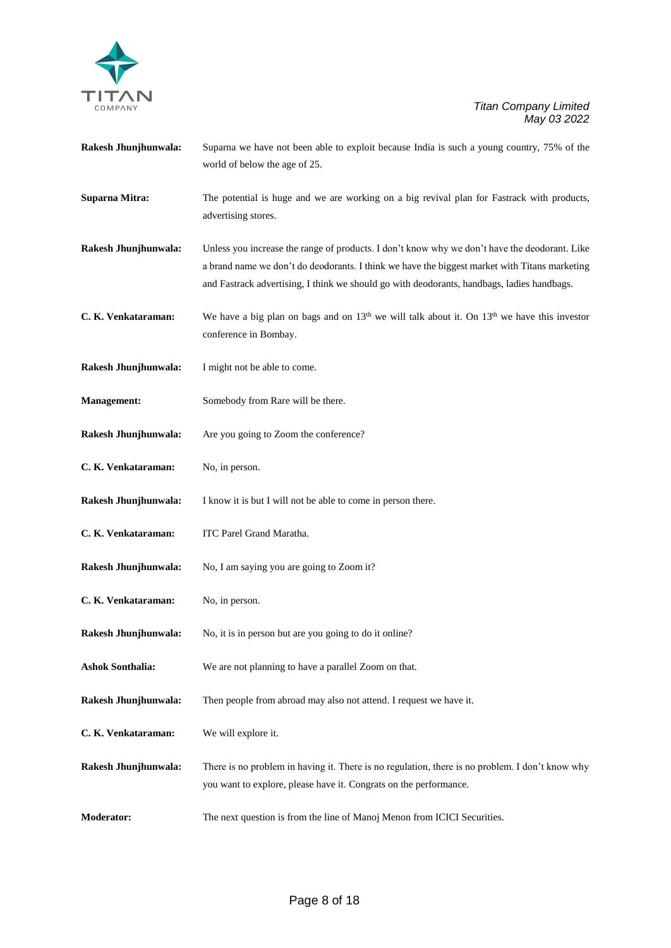

| Rakesh Jhunjhunwala:    | Suparna we have not been able to exploit because India is such a young country, 75% of the<br>world of below the age of 25.                                                                                                                                                                  |
|-------------------------|----------------------------------------------------------------------------------------------------------------------------------------------------------------------------------------------------------------------------------------------------------------------------------------------|
| Suparna Mitra:          | The potential is huge and we are working on a big revival plan for Fastrack with products,<br>advertising stores.                                                                                                                                                                            |
| Rakesh Jhunjhunwala:    | Unless you increase the range of products. I don't know why we don't have the deodorant. Like<br>a brand name we don't do deodorants. I think we have the biggest market with Titans marketing<br>and Fastrack advertising, I think we should go with deodorants, handbags, ladies handbags. |
| C. K. Venkataraman:     | We have a big plan on bags and on $13th$ we will talk about it. On $13th$ we have this investor<br>conference in Bombay.                                                                                                                                                                     |
| Rakesh Jhunjhunwala:    | I might not be able to come.                                                                                                                                                                                                                                                                 |
| <b>Management:</b>      | Somebody from Rare will be there.                                                                                                                                                                                                                                                            |
| Rakesh Jhunjhunwala:    | Are you going to Zoom the conference?                                                                                                                                                                                                                                                        |
| C. K. Venkataraman:     | No, in person.                                                                                                                                                                                                                                                                               |
| Rakesh Jhunjhunwala:    | I know it is but I will not be able to come in person there.                                                                                                                                                                                                                                 |
| C. K. Venkataraman:     | ITC Parel Grand Maratha.                                                                                                                                                                                                                                                                     |
| Rakesh Jhunjhunwala:    | No, I am saying you are going to Zoom it?                                                                                                                                                                                                                                                    |
| C. K. Venkataraman:     | No, in person.                                                                                                                                                                                                                                                                               |
| Rakesh Jhunjhunwala:    | No, it is in person but are you going to do it online?                                                                                                                                                                                                                                       |
| <b>Ashok Sonthalia:</b> | We are not planning to have a parallel Zoom on that.                                                                                                                                                                                                                                         |
| Rakesh Jhunjhunwala:    | Then people from abroad may also not attend. I request we have it.                                                                                                                                                                                                                           |
| C. K. Venkataraman:     | We will explore it.                                                                                                                                                                                                                                                                          |
| Rakesh Jhunjhunwala:    | There is no problem in having it. There is no regulation, there is no problem. I don't know why<br>you want to explore, please have it. Congrats on the performance.                                                                                                                         |
| <b>Moderator:</b>       | The next question is from the line of Manoj Menon from ICICI Securities.                                                                                                                                                                                                                     |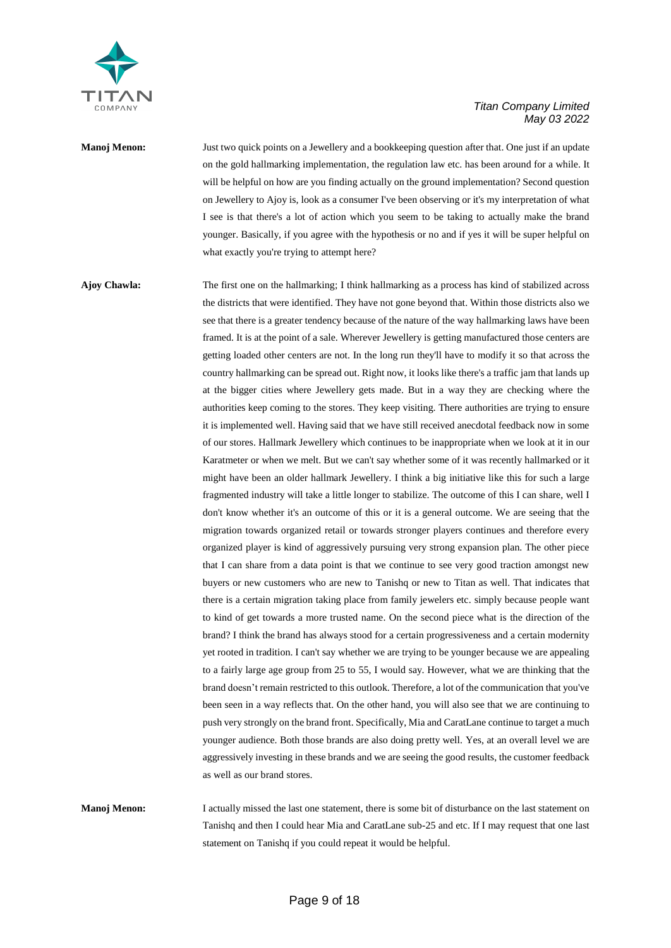

### **Manoj Menon:** Just two quick points on a Jewellery and a bookkeeping question after that. One just if an update on the gold hallmarking implementation, the regulation law etc. has been around for a while. It will be helpful on how are you finding actually on the ground implementation? Second question on Jewellery to Ajoy is, look as a consumer I've been observing or it's my interpretation of what I see is that there's a lot of action which you seem to be taking to actually make the brand younger. Basically, if you agree with the hypothesis or no and if yes it will be super helpful on what exactly you're trying to attempt here?

### **Ajoy Chawla:** The first one on the hallmarking; I think hallmarking as a process has kind of stabilized across the districts that were identified. They have not gone beyond that. Within those districts also we see that there is a greater tendency because of the nature of the way hallmarking laws have been framed. It is at the point of a sale. Wherever Jewellery is getting manufactured those centers are getting loaded other centers are not. In the long run they'll have to modify it so that across the country hallmarking can be spread out. Right now, it looks like there's a traffic jam that lands up at the bigger cities where Jewellery gets made. But in a way they are checking where the authorities keep coming to the stores. They keep visiting. There authorities are trying to ensure it is implemented well. Having said that we have still received anecdotal feedback now in some of our stores. Hallmark Jewellery which continues to be inappropriate when we look at it in our Karatmeter or when we melt. But we can't say whether some of it was recently hallmarked or it might have been an older hallmark Jewellery. I think a big initiative like this for such a large fragmented industry will take a little longer to stabilize. The outcome of this I can share, well I don't know whether it's an outcome of this or it is a general outcome. We are seeing that the migration towards organized retail or towards stronger players continues and therefore every organized player is kind of aggressively pursuing very strong expansion plan. The other piece that I can share from a data point is that we continue to see very good traction amongst new buyers or new customers who are new to Tanishq or new to Titan as well. That indicates that there is a certain migration taking place from family jewelers etc. simply because people want to kind of get towards a more trusted name. On the second piece what is the direction of the brand? I think the brand has always stood for a certain progressiveness and a certain modernity yet rooted in tradition. I can't say whether we are trying to be younger because we are appealing to a fairly large age group from 25 to 55, I would say. However, what we are thinking that the brand doesn't remain restricted to this outlook. Therefore, a lot of the communication that you've been seen in a way reflects that. On the other hand, you will also see that we are continuing to push very strongly on the brand front. Specifically, Mia and CaratLane continue to target a much younger audience. Both those brands are also doing pretty well. Yes, at an overall level we are aggressively investing in these brands and we are seeing the good results, the customer feedback as well as our brand stores.

**Manoj Menon:** I actually missed the last one statement, there is some bit of disturbance on the last statement on Tanishq and then I could hear Mia and CaratLane sub-25 and etc. If I may request that one last statement on Tanishq if you could repeat it would be helpful.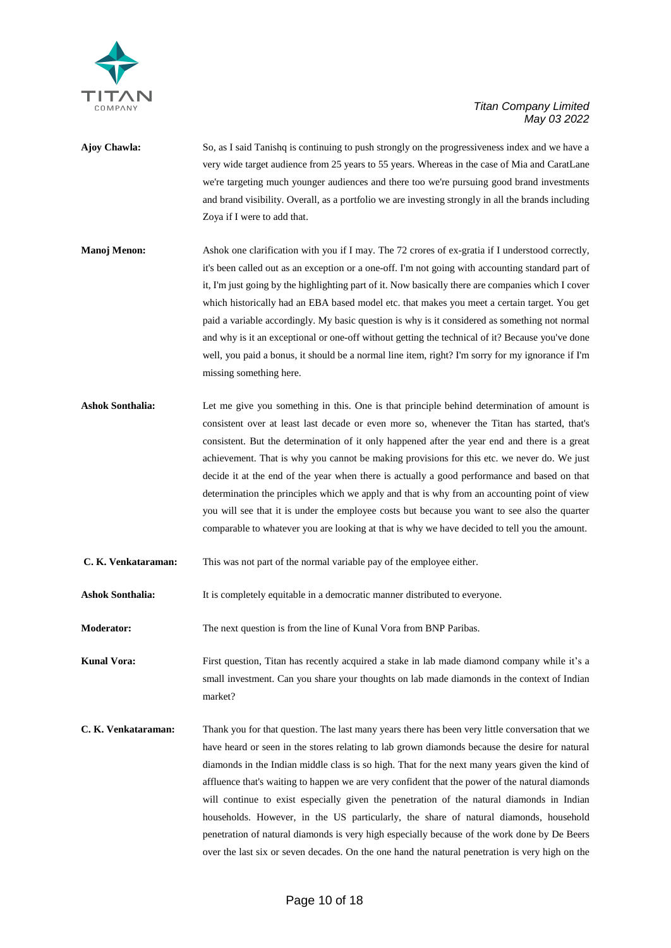

- **Ajoy Chawla:** So, as I said Tanishq is continuing to push strongly on the progressiveness index and we have a very wide target audience from 25 years to 55 years. Whereas in the case of Mia and CaratLane we're targeting much younger audiences and there too we're pursuing good brand investments and brand visibility. Overall, as a portfolio we are investing strongly in all the brands including Zoya if I were to add that.
- **Manoj Menon:** Ashok one clarification with you if I may. The 72 crores of ex-gratia if I understood correctly, it's been called out as an exception or a one-off. I'm not going with accounting standard part of it, I'm just going by the highlighting part of it. Now basically there are companies which I cover which historically had an EBA based model etc. that makes you meet a certain target. You get paid a variable accordingly. My basic question is why is it considered as something not normal and why is it an exceptional or one-off without getting the technical of it? Because you've done well, you paid a bonus, it should be a normal line item, right? I'm sorry for my ignorance if I'm missing something here.
- **Ashok Sonthalia:** Let me give you something in this. One is that principle behind determination of amount is consistent over at least last decade or even more so, whenever the Titan has started, that's consistent. But the determination of it only happened after the year end and there is a great achievement. That is why you cannot be making provisions for this etc. we never do. We just decide it at the end of the year when there is actually a good performance and based on that determination the principles which we apply and that is why from an accounting point of view you will see that it is under the employee costs but because you want to see also the quarter comparable to whatever you are looking at that is why we have decided to tell you the amount.
- **C. K. Venkataraman:** This was not part of the normal variable pay of the employee either.
- **Ashok Sonthalia:** It is completely equitable in a democratic manner distributed to everyone.
- **Moderator:** The next question is from the line of Kunal Vora from BNP Paribas.

**Kunal Vora:** First question, Titan has recently acquired a stake in lab made diamond company while it's a small investment. Can you share your thoughts on lab made diamonds in the context of Indian market?

**C. K. Venkataraman:** Thank you for that question. The last many years there has been very little conversation that we have heard or seen in the stores relating to lab grown diamonds because the desire for natural diamonds in the Indian middle class is so high. That for the next many years given the kind of affluence that's waiting to happen we are very confident that the power of the natural diamonds will continue to exist especially given the penetration of the natural diamonds in Indian households. However, in the US particularly, the share of natural diamonds, household penetration of natural diamonds is very high especially because of the work done by De Beers over the last six or seven decades. On the one hand the natural penetration is very high on the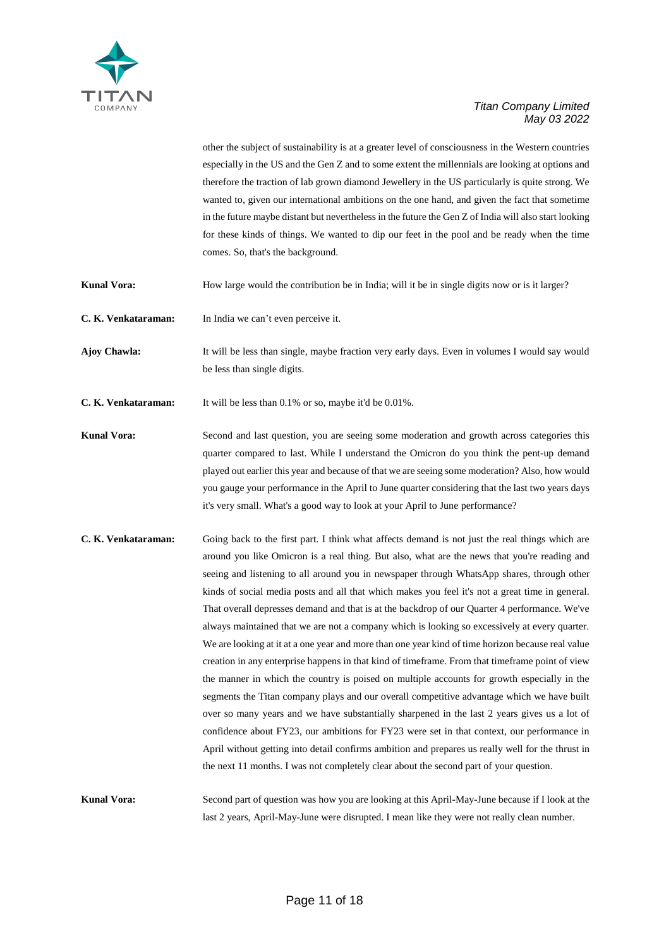

other the subject of sustainability is at a greater level of consciousness in the Western countries especially in the US and the Gen Z and to some extent the millennials are looking at options and therefore the traction of lab grown diamond Jewellery in the US particularly is quite strong. We wanted to, given our international ambitions on the one hand, and given the fact that sometime in the future maybe distant but nevertheless in the future the Gen Z of India will also start looking for these kinds of things. We wanted to dip our feet in the pool and be ready when the time comes. So, that's the background.

**Kunal Vora:** How large would the contribution be in India; will it be in single digits now or is it larger?

**C. K. Venkataraman:** In India we can't even perceive it.

**Ajoy Chawla:** It will be less than single, maybe fraction very early days. Even in volumes I would say would be less than single digits.

**C. K. Venkataraman:** It will be less than 0.1% or so, maybe it'd be 0.01%.

**Kunal Vora:** Second and last question, you are seeing some moderation and growth across categories this quarter compared to last. While I understand the Omicron do you think the pent-up demand played out earlier this year and because of that we are seeing some moderation? Also, how would you gauge your performance in the April to June quarter considering that the last two years days it's very small. What's a good way to look at your April to June performance?

**C. K. Venkataraman:** Going back to the first part. I think what affects demand is not just the real things which are around you like Omicron is a real thing. But also, what are the news that you're reading and seeing and listening to all around you in newspaper through WhatsApp shares, through other kinds of social media posts and all that which makes you feel it's not a great time in general. That overall depresses demand and that is at the backdrop of our Quarter 4 performance. We've always maintained that we are not a company which is looking so excessively at every quarter. We are looking at it at a one year and more than one year kind of time horizon because real value creation in any enterprise happens in that kind of timeframe. From that timeframe point of view the manner in which the country is poised on multiple accounts for growth especially in the segments the Titan company plays and our overall competitive advantage which we have built over so many years and we have substantially sharpened in the last 2 years gives us a lot of confidence about FY23, our ambitions for FY23 were set in that context, our performance in April without getting into detail confirms ambition and prepares us really well for the thrust in the next 11 months. I was not completely clear about the second part of your question.

**Kunal Vora:** Second part of question was how you are looking at this April-May-June because if I look at the last 2 years, April-May-June were disrupted. I mean like they were not really clean number.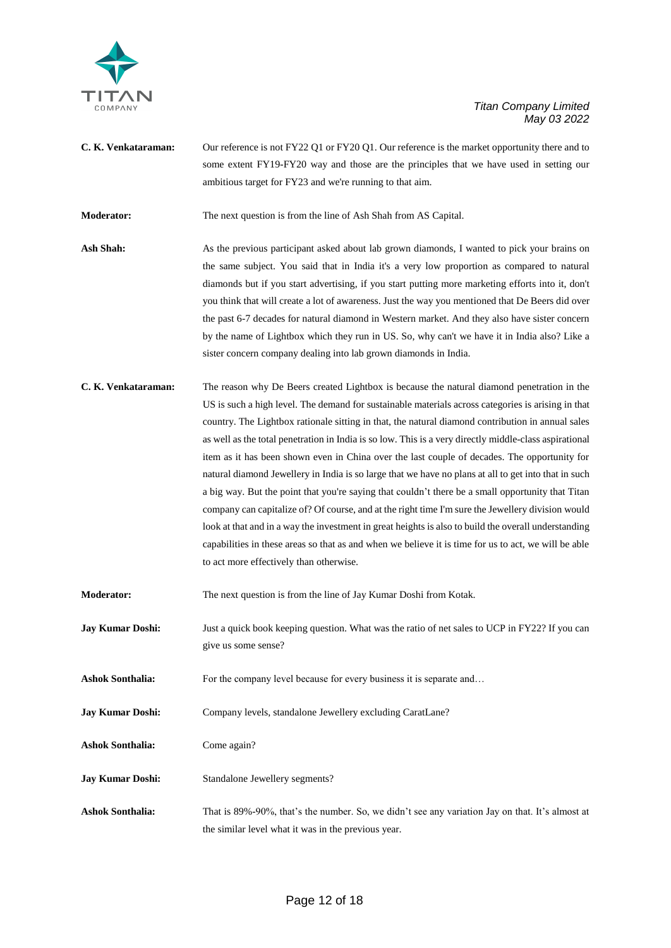

**C. K. Venkataraman:** Our reference is not FY22 Q1 or FY20 Q1. Our reference is the market opportunity there and to some extent FY19-FY20 way and those are the principles that we have used in setting our ambitious target for FY23 and we're running to that aim.

**Moderator:** The next question is from the line of Ash Shah from AS Capital.

- **Ash Shah:** As the previous participant asked about lab grown diamonds, I wanted to pick your brains on the same subject. You said that in India it's a very low proportion as compared to natural diamonds but if you start advertising, if you start putting more marketing efforts into it, don't you think that will create a lot of awareness. Just the way you mentioned that De Beers did over the past 6-7 decades for natural diamond in Western market. And they also have sister concern by the name of Lightbox which they run in US. So, why can't we have it in India also? Like a sister concern company dealing into lab grown diamonds in India.
- **C. K. Venkataraman:** The reason why De Beers created Lightbox is because the natural diamond penetration in the US is such a high level. The demand for sustainable materials across categories is arising in that country. The Lightbox rationale sitting in that, the natural diamond contribution in annual sales as well as the total penetration in India is so low. This is a very directly middle-class aspirational item as it has been shown even in China over the last couple of decades. The opportunity for natural diamond Jewellery in India is so large that we have no plans at all to get into that in such a big way. But the point that you're saying that couldn't there be a small opportunity that Titan company can capitalize of? Of course, and at the right time I'm sure the Jewellery division would look at that and in a way the investment in great heights is also to build the overall understanding capabilities in these areas so that as and when we believe it is time for us to act, we will be able to act more effectively than otherwise.
- **Moderator:** The next question is from the line of Jay Kumar Doshi from Kotak. **Jay Kumar Doshi:** Just a quick book keeping question. What was the ratio of net sales to UCP in FY22? If you can give us some sense? Ashok Sonthalia: For the company level because for every business it is separate and... Jay Kumar Doshi: Company levels, standalone Jewellery excluding CaratLane? **Ashok Sonthalia:** Come again? **Jay Kumar Doshi:** Standalone Jewellery segments? **Ashok Sonthalia:** That is 89%-90%, that's the number. So, we didn't see any variation Jay on that. It's almost at the similar level what it was in the previous year.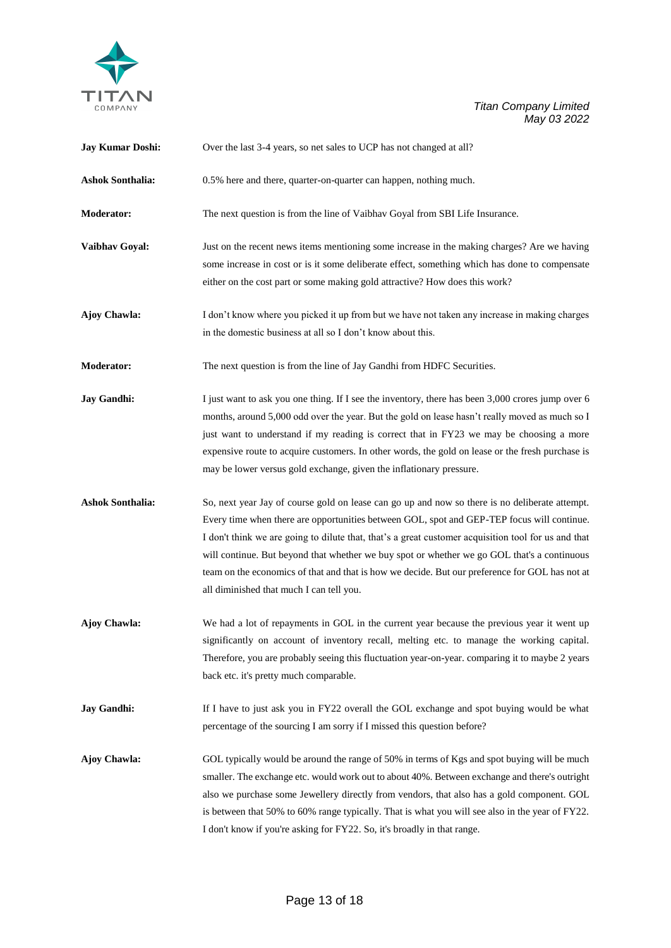

| <b>Jay Kumar Doshi:</b> | Over the last 3-4 years, so net sales to UCP has not changed at all?                                                                                                                                                                                                                                                                                                                                                                                                                                                                             |
|-------------------------|--------------------------------------------------------------------------------------------------------------------------------------------------------------------------------------------------------------------------------------------------------------------------------------------------------------------------------------------------------------------------------------------------------------------------------------------------------------------------------------------------------------------------------------------------|
| <b>Ashok Sonthalia:</b> | 0.5% here and there, quarter-on-quarter can happen, nothing much.                                                                                                                                                                                                                                                                                                                                                                                                                                                                                |
| <b>Moderator:</b>       | The next question is from the line of Vaibhav Goyal from SBI Life Insurance.                                                                                                                                                                                                                                                                                                                                                                                                                                                                     |
| <b>Vaibhav Goyal:</b>   | Just on the recent news items mentioning some increase in the making charges? Are we having<br>some increase in cost or is it some deliberate effect, something which has done to compensate<br>either on the cost part or some making gold attractive? How does this work?                                                                                                                                                                                                                                                                      |
| Ajoy Chawla:            | I don't know where you picked it up from but we have not taken any increase in making charges<br>in the domestic business at all so I don't know about this.                                                                                                                                                                                                                                                                                                                                                                                     |
| <b>Moderator:</b>       | The next question is from the line of Jay Gandhi from HDFC Securities.                                                                                                                                                                                                                                                                                                                                                                                                                                                                           |
| <b>Jay Gandhi:</b>      | I just want to ask you one thing. If I see the inventory, there has been 3,000 crores jump over 6<br>months, around 5,000 odd over the year. But the gold on lease hasn't really moved as much so I<br>just want to understand if my reading is correct that in FY23 we may be choosing a more<br>expensive route to acquire customers. In other words, the gold on lease or the fresh purchase is<br>may be lower versus gold exchange, given the inflationary pressure.                                                                        |
| <b>Ashok Sonthalia:</b> | So, next year Jay of course gold on lease can go up and now so there is no deliberate attempt.<br>Every time when there are opportunities between GOL, spot and GEP-TEP focus will continue.<br>I don't think we are going to dilute that, that's a great customer acquisition tool for us and that<br>will continue. But beyond that whether we buy spot or whether we go GOL that's a continuous<br>team on the economics of that and that is how we decide. But our preference for GOL has not at<br>all diminished that much I can tell you. |
| <b>Ajoy Chawla:</b>     | We had a lot of repayments in GOL in the current year because the previous year it went up<br>significantly on account of inventory recall, melting etc. to manage the working capital.<br>Therefore, you are probably seeing this fluctuation year-on-year. comparing it to maybe 2 years<br>back etc. it's pretty much comparable.                                                                                                                                                                                                             |
| <b>Jay Gandhi:</b>      | If I have to just ask you in FY22 overall the GOL exchange and spot buying would be what<br>percentage of the sourcing I am sorry if I missed this question before?                                                                                                                                                                                                                                                                                                                                                                              |
| Ajoy Chawla:            | GOL typically would be around the range of 50% in terms of Kgs and spot buying will be much<br>smaller. The exchange etc. would work out to about 40%. Between exchange and there's outright<br>also we purchase some Jewellery directly from vendors, that also has a gold component. GOL<br>is between that 50% to 60% range typically. That is what you will see also in the year of FY22.<br>I don't know if you're asking for FY22. So, it's broadly in that range.                                                                         |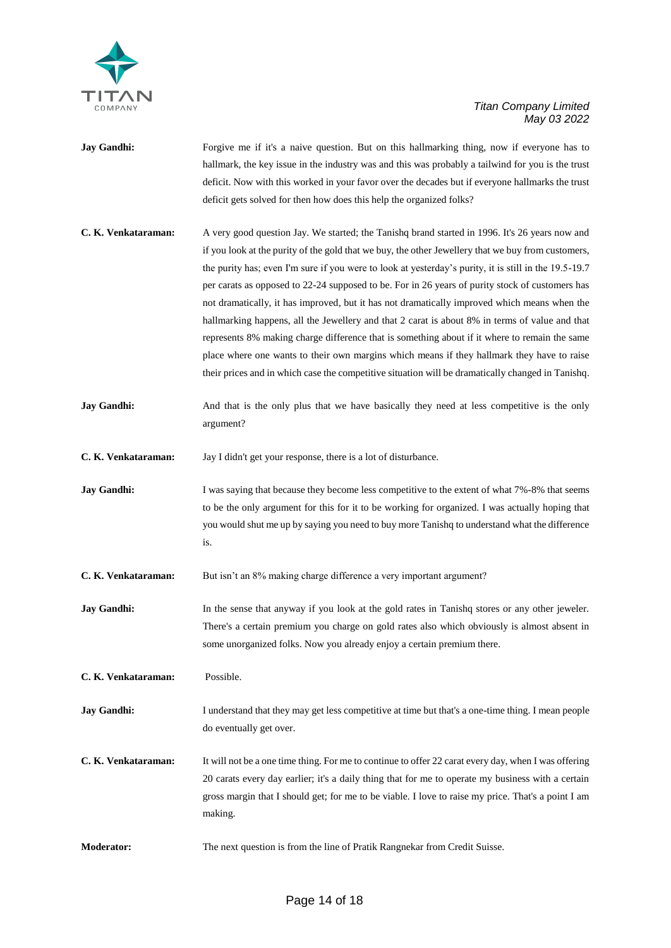

- **Jay Gandhi:** Forgive me if it's a naive question. But on this hallmarking thing, now if everyone has to hallmark, the key issue in the industry was and this was probably a tailwind for you is the trust deficit. Now with this worked in your favor over the decades but if everyone hallmarks the trust deficit gets solved for then how does this help the organized folks?
- **C. K. Venkataraman:** A very good question Jay. We started; the Tanishq brand started in 1996. It's 26 years now and if you look at the purity of the gold that we buy, the other Jewellery that we buy from customers, the purity has; even I'm sure if you were to look at yesterday's purity, it is still in the 19.5-19.7 per carats as opposed to 22-24 supposed to be. For in 26 years of purity stock of customers has not dramatically, it has improved, but it has not dramatically improved which means when the hallmarking happens, all the Jewellery and that 2 carat is about 8% in terms of value and that represents 8% making charge difference that is something about if it where to remain the same place where one wants to their own margins which means if they hallmark they have to raise their prices and in which case the competitive situation will be dramatically changed in Tanishq.
- **Jay Gandhi:** And that is the only plus that we have basically they need at less competitive is the only argument?
- **C. K. Venkataraman:** Jay I didn't get your response, there is a lot of disturbance.
- **Jay Gandhi:** I was saying that because they become less competitive to the extent of what 7%-8% that seems to be the only argument for this for it to be working for organized. I was actually hoping that you would shut me up by saying you need to buy more Tanishq to understand what the difference is.
- **C. K. Venkataraman:** But isn't an 8% making charge difference a very important argument?
- **Jay Gandhi:** In the sense that anyway if you look at the gold rates in Tanishq stores or any other jeweler. There's a certain premium you charge on gold rates also which obviously is almost absent in some unorganized folks. Now you already enjoy a certain premium there.
- **C. K. Venkataraman:** Possible.
- **Jay Gandhi:** I understand that they may get less competitive at time but that's a one-time thing. I mean people do eventually get over.
- **C. K. Venkataraman:** It will not be a one time thing. For me to continue to offer 22 carat every day, when I was offering 20 carats every day earlier; it's a daily thing that for me to operate my business with a certain gross margin that I should get; for me to be viable. I love to raise my price. That's a point I am making.
- **Moderator:** The next question is from the line of Pratik Rangnekar from Credit Suisse.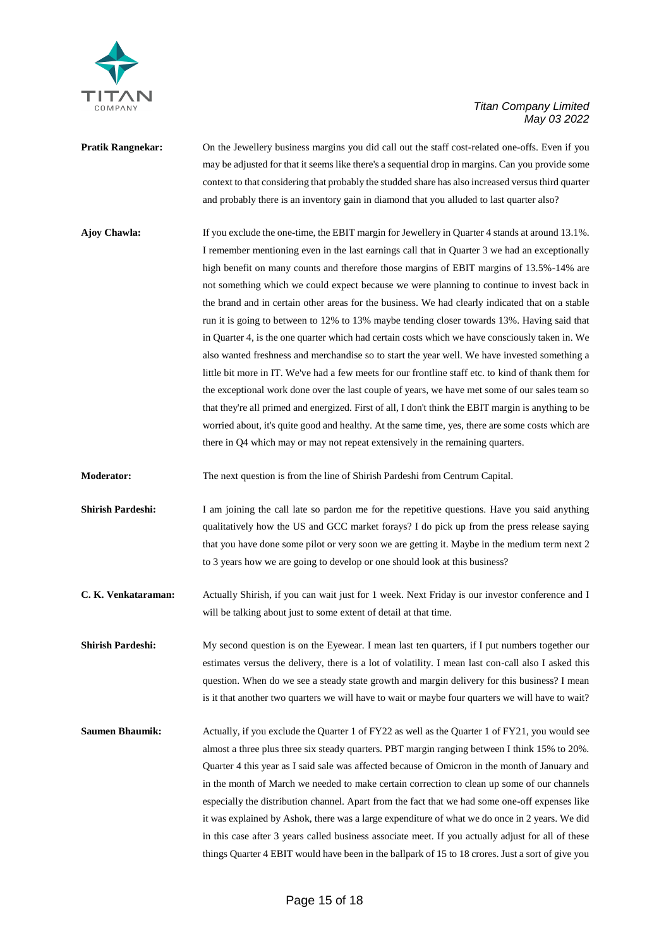

- **Pratik Rangnekar:** On the Jewellery business margins you did call out the staff cost-related one-offs. Even if you may be adjusted for that it seems like there's a sequential drop in margins. Can you provide some context to that considering that probably the studded share has also increased versus third quarter and probably there is an inventory gain in diamond that you alluded to last quarter also?
- **Ajoy Chawla:** If you exclude the one-time, the EBIT margin for Jewellery in Quarter 4 stands at around 13.1%. I remember mentioning even in the last earnings call that in Quarter 3 we had an exceptionally high benefit on many counts and therefore those margins of EBIT margins of 13.5%-14% are not something which we could expect because we were planning to continue to invest back in the brand and in certain other areas for the business. We had clearly indicated that on a stable run it is going to between to 12% to 13% maybe tending closer towards 13%. Having said that in Quarter 4, is the one quarter which had certain costs which we have consciously taken in. We also wanted freshness and merchandise so to start the year well. We have invested something a little bit more in IT. We've had a few meets for our frontline staff etc. to kind of thank them for the exceptional work done over the last couple of years, we have met some of our sales team so that they're all primed and energized. First of all, I don't think the EBIT margin is anything to be worried about, it's quite good and healthy. At the same time, yes, there are some costs which are there in Q4 which may or may not repeat extensively in the remaining quarters.

**Moderator:** The next question is from the line of Shirish Pardeshi from Centrum Capital.

- **Shirish Pardeshi:** I am joining the call late so pardon me for the repetitive questions. Have you said anything qualitatively how the US and GCC market forays? I do pick up from the press release saying that you have done some pilot or very soon we are getting it. Maybe in the medium term next 2 to 3 years how we are going to develop or one should look at this business?
- **C. K. Venkataraman:** Actually Shirish, if you can wait just for 1 week. Next Friday is our investor conference and I will be talking about just to some extent of detail at that time.

**Shirish Pardeshi:** My second question is on the Eyewear. I mean last ten quarters, if I put numbers together our estimates versus the delivery, there is a lot of volatility. I mean last con-call also I asked this question. When do we see a steady state growth and margin delivery for this business? I mean is it that another two quarters we will have to wait or maybe four quarters we will have to wait?

**Saumen Bhaumik:** Actually, if you exclude the Quarter 1 of FY22 as well as the Quarter 1 of FY21, you would see almost a three plus three six steady quarters. PBT margin ranging between I think 15% to 20%. Quarter 4 this year as I said sale was affected because of Omicron in the month of January and in the month of March we needed to make certain correction to clean up some of our channels especially the distribution channel. Apart from the fact that we had some one-off expenses like it was explained by Ashok, there was a large expenditure of what we do once in 2 years. We did in this case after 3 years called business associate meet. If you actually adjust for all of these things Quarter 4 EBIT would have been in the ballpark of 15 to 18 crores. Just a sort of give you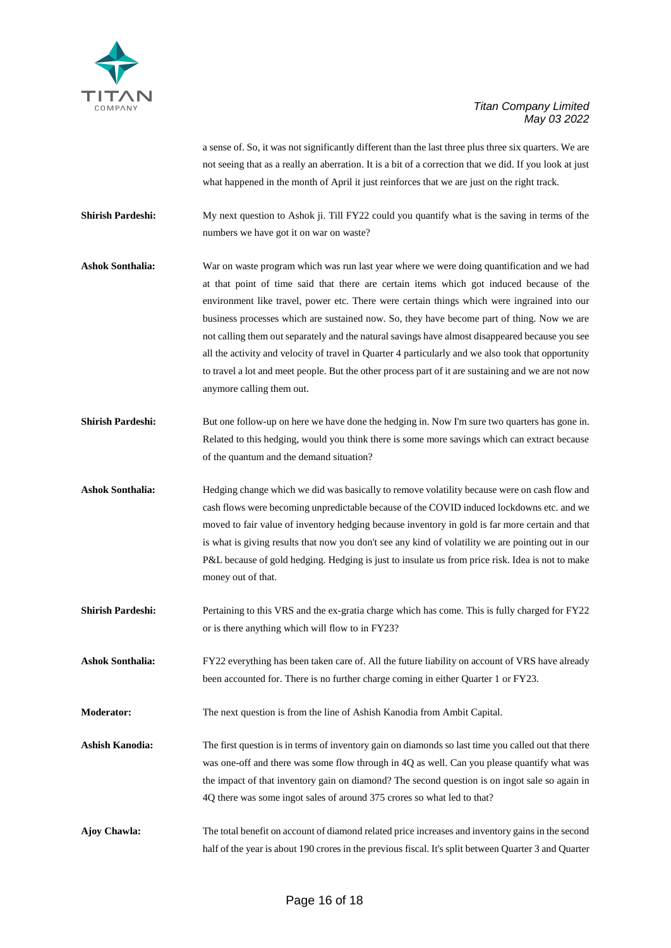

a sense of. So, it was not significantly different than the last three plus three six quarters. We are not seeing that as a really an aberration. It is a bit of a correction that we did. If you look at just what happened in the month of April it just reinforces that we are just on the right track.

**Shirish Pardeshi:** My next question to Ashok ji. Till FY22 could you quantify what is the saving in terms of the numbers we have got it on war on waste?

- **Ashok Sonthalia:** War on waste program which was run last year where we were doing quantification and we had at that point of time said that there are certain items which got induced because of the environment like travel, power etc. There were certain things which were ingrained into our business processes which are sustained now. So, they have become part of thing. Now we are not calling them out separately and the natural savings have almost disappeared because you see all the activity and velocity of travel in Quarter 4 particularly and we also took that opportunity to travel a lot and meet people. But the other process part of it are sustaining and we are not now anymore calling them out.
- **Shirish Pardeshi:** But one follow-up on here we have done the hedging in. Now I'm sure two quarters has gone in. Related to this hedging, would you think there is some more savings which can extract because of the quantum and the demand situation?
- **Ashok Sonthalia:** Hedging change which we did was basically to remove volatility because were on cash flow and cash flows were becoming unpredictable because of the COVID induced lockdowns etc. and we moved to fair value of inventory hedging because inventory in gold is far more certain and that is what is giving results that now you don't see any kind of volatility we are pointing out in our P&L because of gold hedging. Hedging is just to insulate us from price risk. Idea is not to make money out of that.
- **Shirish Pardeshi:** Pertaining to this VRS and the ex-gratia charge which has come. This is fully charged for FY22 or is there anything which will flow to in FY23?
- **Ashok Sonthalia:** FY22 everything has been taken care of. All the future liability on account of VRS have already been accounted for. There is no further charge coming in either Quarter 1 or FY23.
- **Moderator:** The next question is from the line of Ashish Kanodia from Ambit Capital.
- **Ashish Kanodia:** The first question is in terms of inventory gain on diamonds so last time you called out that there was one-off and there was some flow through in 4Q as well. Can you please quantify what was the impact of that inventory gain on diamond? The second question is on ingot sale so again in 4Q there was some ingot sales of around 375 crores so what led to that?
- **Ajoy Chawla:** The total benefit on account of diamond related price increases and inventory gains in the second half of the year is about 190 crores in the previous fiscal. It's split between Quarter 3 and Quarter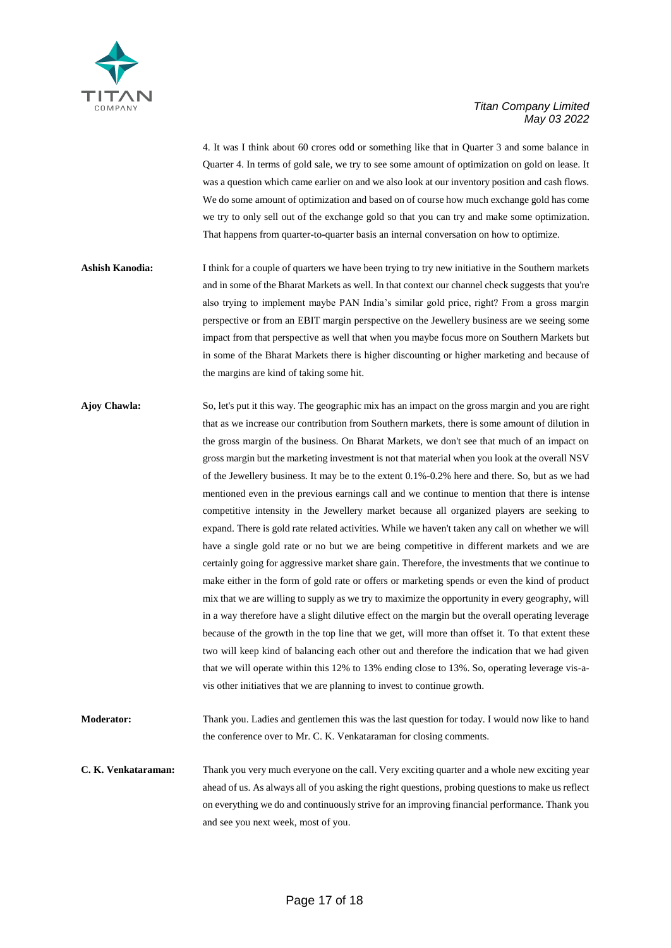

4. It was I think about 60 crores odd or something like that in Quarter 3 and some balance in Quarter 4. In terms of gold sale, we try to see some amount of optimization on gold on lease. It was a question which came earlier on and we also look at our inventory position and cash flows. We do some amount of optimization and based on of course how much exchange gold has come we try to only sell out of the exchange gold so that you can try and make some optimization. That happens from quarter-to-quarter basis an internal conversation on how to optimize.

- **Ashish Kanodia:** I think for a couple of quarters we have been trying to try new initiative in the Southern markets and in some of the Bharat Markets as well. In that context our channel check suggests that you're also trying to implement maybe PAN India's similar gold price, right? From a gross margin perspective or from an EBIT margin perspective on the Jewellery business are we seeing some impact from that perspective as well that when you maybe focus more on Southern Markets but in some of the Bharat Markets there is higher discounting or higher marketing and because of the margins are kind of taking some hit.
- **Ajoy Chawla:** So, let's put it this way. The geographic mix has an impact on the gross margin and you are right that as we increase our contribution from Southern markets, there is some amount of dilution in the gross margin of the business. On Bharat Markets, we don't see that much of an impact on gross margin but the marketing investment is not that material when you look at the overall NSV of the Jewellery business. It may be to the extent 0.1%-0.2% here and there. So, but as we had mentioned even in the previous earnings call and we continue to mention that there is intense competitive intensity in the Jewellery market because all organized players are seeking to expand. There is gold rate related activities. While we haven't taken any call on whether we will have a single gold rate or no but we are being competitive in different markets and we are certainly going for aggressive market share gain. Therefore, the investments that we continue to make either in the form of gold rate or offers or marketing spends or even the kind of product mix that we are willing to supply as we try to maximize the opportunity in every geography, will in a way therefore have a slight dilutive effect on the margin but the overall operating leverage because of the growth in the top line that we get, will more than offset it. To that extent these two will keep kind of balancing each other out and therefore the indication that we had given that we will operate within this 12% to 13% ending close to 13%. So, operating leverage vis-avis other initiatives that we are planning to invest to continue growth.
- **Moderator:** Thank you. Ladies and gentlemen this was the last question for today. I would now like to hand the conference over to Mr. C. K. Venkataraman for closing comments.

**C. K. Venkataraman:** Thank you very much everyone on the call. Very exciting quarter and a whole new exciting year ahead of us. As always all of you asking the right questions, probing questions to make us reflect on everything we do and continuously strive for an improving financial performance. Thank you and see you next week, most of you.